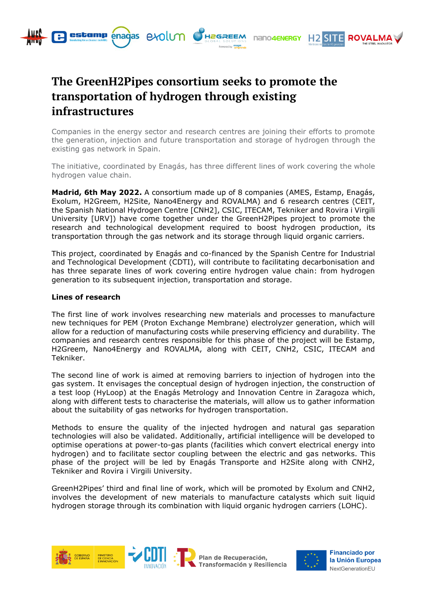

**estamp** enagas exolum CH2GREEM

Companies in the energy sector and research centres are joining their efforts to promote the generation, injection and future transportation and storage of hydrogen through the existing gas network in Spain.

nano4eNeRGY

**H<sub>2</sub> SIT** 

**ROVAL** 

The initiative, coordinated by Enagás, has three different lines of work covering the whole hydrogen value chain.

**Madrid, 6th May 2022.** A consortium made up of 8 companies (AMES, Estamp, Enagás, Exolum, H2Greem, H2Site, Nano4Energy and ROVALMA) and 6 research centres (CEIT, the Spanish National Hydrogen Centre [CNH2], CSIC, ITECAM, Tekniker and Rovira i Virgili University [URV]) have come together under the GreenH2Pipes project to promote the research and technological development required to boost hydrogen production, its transportation through the gas network and its storage through liquid organic carriers.

This project, coordinated by Enagás and co-financed by the Spanish Centre for Industrial and Technological Development (CDTI), will contribute to facilitating decarbonisation and has three separate lines of work covering entire hydrogen value chain: from hydrogen generation to its subsequent injection, transportation and storage.

# **Lines of research**

The first line of work involves researching new materials and processes to manufacture new techniques for PEM (Proton Exchange Membrane) electrolyzer generation, which will allow for a reduction of manufacturing costs while preserving efficiency and durability. The companies and research centres responsible for this phase of the project will be Estamp, H2Greem, Nano4Energy and ROVALMA, along with CEIT, CNH2, CSIC, ITECAM and Tekniker.

The second line of work is aimed at removing barriers to injection of hydrogen into the gas system. It envisages the conceptual design of hydrogen injection, the construction of a test loop (HyLoop) at the Enagás Metrology and Innovation Centre in Zaragoza which, along with different tests to characterise the materials, will allow us to gather information about the suitability of gas networks for hydrogen transportation.

Methods to ensure the quality of the injected hydrogen and natural gas separation technologies will also be validated. Additionally, artificial intelligence will be developed to optimise operations at power-to-gas plants (facilities which convert electrical energy into hydrogen) and to facilitate sector coupling between the electric and gas networks. This phase of the project will be led by Enagás Transporte and H2Site along with CNH2, Tekniker and Rovira i Virgili University.

GreenH2Pipes' third and final line of work, which will be promoted by Exolum and CNH2, involves the development of new materials to manufacture catalysts which suit liquid hydrogen storage through its combination with liquid organic hydrogen carriers (LOHC).





**Financiado por** la Unión Europea NextGenerationEU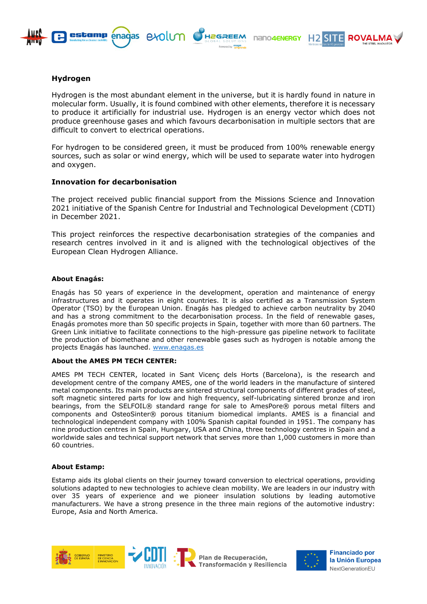





# **Hydrogen**

Hydrogen is the most abundant element in the universe, but it is hardly found in nature in molecular form. Usually, it is found combined with other elements, therefore it is necessary to produce it artificially for industrial use. Hydrogen is an energy vector which does not produce greenhouse gases and which favours decarbonisation in multiple sectors that are difficult to convert to electrical operations.

For hydrogen to be considered green, it must be produced from 100% renewable energy sources, such as solar or wind energy, which will be used to separate water into hydrogen and oxygen.

# **Innovation for decarbonisation**

The project received public financial support from the Missions Science and Innovation 2021 initiative of the Spanish Centre for Industrial and Technological Development (CDTI) in December 2021.

This project reinforces the respective decarbonisation strategies of the companies and research centres involved in it and is aligned with the technological objectives of the European Clean Hydrogen Alliance.

# **About Enagás:**

Enagás has 50 years of experience in the development, operation and maintenance of energy infrastructures and it operates in eight countries. It is also certified as a Transmission System Operator (TSO) by the European Union. Enagás has pledged to achieve carbon neutrality by 2040 and has a strong commitment to the decarbonisation process. In the field of renewable gases, Enagás promotes more than 50 specific projects in Spain, together with more than 60 partners. The Green Link initiative to facilitate connections to the high-pressure gas pipeline network to facilitate the production of biomethane and other renewable gases such as hydrogen is notable among the projects Enagás has launched. [www.enagas.es](http://www.enagas.es/)

# **About the AMES PM TECH CENTER:**

AMES PM TECH CENTER, located in Sant Vicenç dels Horts (Barcelona), is the research and development centre of the company AMES, one of the world leaders in the manufacture of sintered metal components. Its main products are sintered structural components of different grades of steel, soft magnetic sintered parts for low and high frequency, self-lubricating sintered bronze and iron bearings, from the SELFOIL® standard range for sale to AmesPore® porous metal filters and components and OsteoSinter® porous titanium biomedical implants. AMES is a financial and technological independent company with 100% Spanish capital founded in 1951. The company has nine production centres in Spain, Hungary, USA and China, three technology centres in Spain and a worldwide sales and technical support network that serves more than 1,000 customers in more than 60 countries.

# **About Estamp:**

Estamp aids its global clients on their journey toward conversion to electrical operations, providing solutions adapted to new technologies to achieve clean mobility. We are leaders in our industry with over 35 years of experience and we pioneer insulation solutions by leading automotive manufacturers. We have a strong presence in the three main regions of the automotive industry: Europe, Asia and North America.





Plan de Recuperación, Transformación y Resiliencia



**Financiado por** la Unión Europea NextGenerationEU